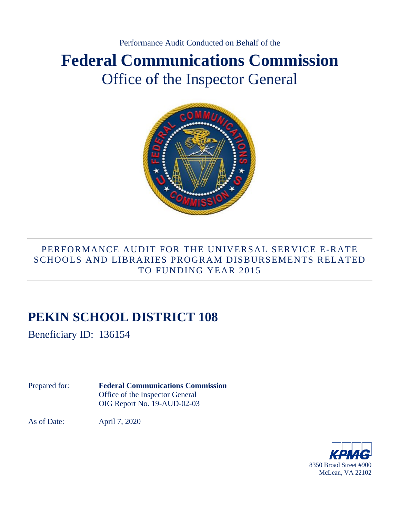# Performance Audit Conducted on Behalf of the **Federal Communications Commission** Office of the Inspector General



## PERFORMANCE AUDIT FOR THE UNIVERSAL SERVICE E-RATE SCHOOLS AND LIBRARIES PROGRAM DISBURSEMENTS RELATED TO FUNDING YEAR 2015

# **PEKIN SCHOOL DISTRICT 108**

Beneficiary ID: 136154

Prepared for: **Federal Communications Commission**  Office of the Inspector General OIG Report No. 19-AUD-02-03

As of Date: April 7, 2020

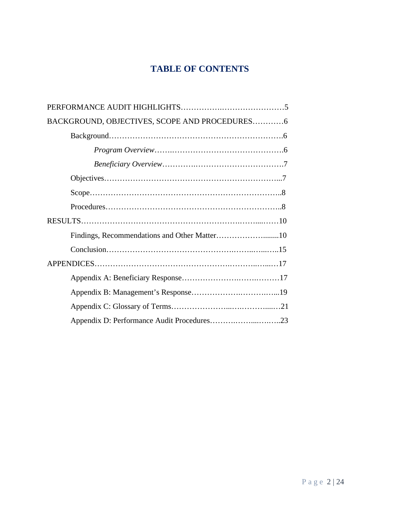## **TABLE OF CONTENTS**

| BACKGROUND, OBJECTIVES, SCOPE AND PROCEDURES6 |
|-----------------------------------------------|
|                                               |
|                                               |
|                                               |
|                                               |
|                                               |
|                                               |
|                                               |
|                                               |
|                                               |
|                                               |
|                                               |
|                                               |
|                                               |
|                                               |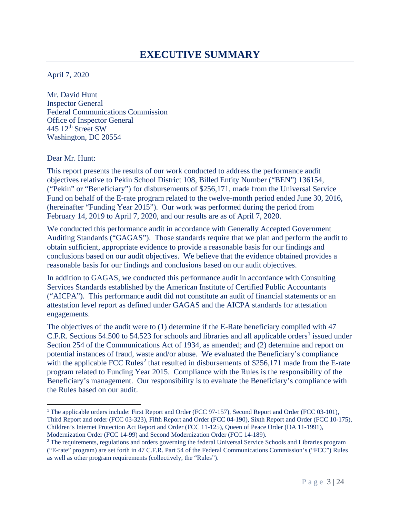# **EXECUTIVE SUMMARY**

April 7, 2020

Mr. David Hunt Inspector General Federal Communications Commission Office of Inspector General 445 12<sup>th</sup> Street SW Washington, DC 20554

Dear Mr. Hunt:

This report presents the results of our work conducted to address the performance audit objectives relative to Pekin School District 108, Billed Entity Number ("BEN") 136154, ("Pekin" or "Beneficiary") for disbursements of \$256,171, made from the Universal Service Fund on behalf of the E-rate program related to the twelve-month period ended June 30, 2016, (hereinafter "Funding Year 2015"). Our work was performed during the period from February 14, 2019 to April 7, 2020, and our results are as of April 7, 2020.

We conducted this performance audit in accordance with Generally Accepted Government Auditing Standards ("GAGAS"). Those standards require that we plan and perform the audit to obtain sufficient, appropriate evidence to provide a reasonable basis for our findings and conclusions based on our audit objectives. We believe that the evidence obtained provides a reasonable basis for our findings and conclusions based on our audit objectives.

In addition to GAGAS*,* we conducted this performance audit in accordance with Consulting Services Standards established by the American Institute of Certified Public Accountants ("AICPA"). This performance audit did not constitute an audit of financial statements or an attestation level report as defined under GAGAS and the AICPA standards for attestation engagements.

The objectives of the audit were to (1) determine if the E-Rate beneficiary complied with 47 C.F.R. Sections 54.500 to 54.523 for schools and libraries and all applicable orders<sup>1</sup> issued under Section 254 of the Communications Act of 1934, as amended; and (2) determine and report on potential instances of fraud, waste and/or abuse. We evaluated the Beneficiary's compliance with the applicable FCC Rules<sup>2</sup> that resulted in disbursements of  $$256,171$  made from the E-rate program related to Funding Year 2015. Compliance with the Rules is the responsibility of the Beneficiary's management. Our responsibility is to evaluate the Beneficiary's compliance with the Rules based on our audit.

<sup>&</sup>lt;sup>1</sup> The applicable orders include: First Report and Order (FCC 97-157), Second Report and Order (FCC 03-101), Third Report and order (FCC 03-323), Fifth Report and Order (FCC 04-190), Sixth Report and Order (FCC 10-175), Children's Internet Protection Act Report and Order (FCC 11-125), Queen of Peace Order (DA 11-1991), Modernization Order (FCC 14-99) and Second Modernization Order (FCC 14-189).

<sup>&</sup>lt;sup>2</sup> The requirements, regulations and orders governing the federal Universal Service Schools and Libraries program ("E-rate" program) are set forth in 47 C.F.R. Part 54 of the Federal Communications Commission's ("FCC") Rules as well as other program requirements (collectively, the "Rules").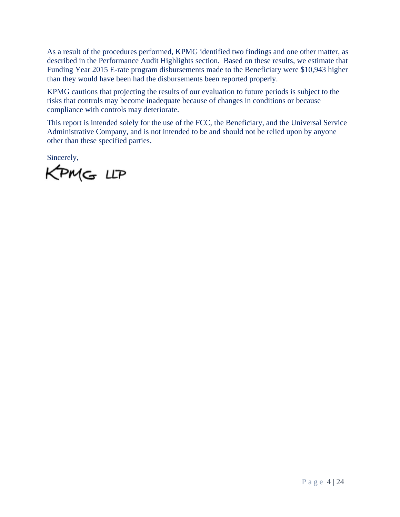As a result of the procedures performed, KPMG identified two findings and one other matter, as described in the Performance Audit Highlights section. Based on these results, we estimate that Funding Year 2015 E-rate program disbursements made to the Beneficiary were \$10,943 higher than they would have been had the disbursements been reported properly.

KPMG cautions that projecting the results of our evaluation to future periods is subject to the risks that controls may become inadequate because of changes in conditions or because compliance with controls may deteriorate.

This report is intended solely for the use of the FCC, the Beneficiary, and the Universal Service Administrative Company, and is not intended to be and should not be relied upon by anyone other than these specified parties.

Sincerely,

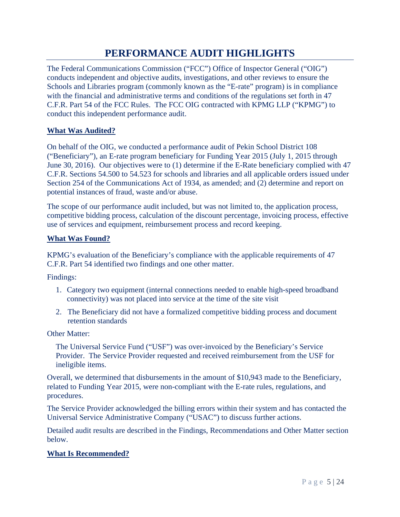# **PERFORMANCE AUDIT HIGHLIGHTS**

The Federal Communications Commission ("FCC") Office of Inspector General ("OIG") conducts independent and objective audits, investigations, and other reviews to ensure the Schools and Libraries program (commonly known as the "E-rate" program) is in compliance with the financial and administrative terms and conditions of the regulations set forth in 47 C.F.R. Part 54 of the FCC Rules. The FCC OIG contracted with KPMG LLP ("KPMG") to conduct this independent performance audit.

#### **What Was Audited?**

On behalf of the OIG, we conducted a performance audit of Pekin School District 108 ("Beneficiary"), an E-rate program beneficiary for Funding Year 2015 (July 1, 2015 through June 30, 2016). Our objectives were to (1) determine if the E-Rate beneficiary complied with 47 C.F.R. Sections 54.500 to 54.523 for schools and libraries and all applicable orders issued under Section 254 of the Communications Act of 1934, as amended; and (2) determine and report on potential instances of fraud, waste and/or abuse.

The scope of our performance audit included, but was not limited to, the application process, competitive bidding process, calculation of the discount percentage, invoicing process, effective use of services and equipment, reimbursement process and record keeping.

#### **What Was Found?**

KPMG's evaluation of the Beneficiary's compliance with the applicable requirements of 47 C.F.R. Part 54 identified two findings and one other matter.

Findings:

- 1. Category two equipment (internal connections needed to enable high-speed broadband connectivity) was not placed into service at the time of the site visit
- 2. The Beneficiary did not have a formalized competitive bidding process and document retention standards

Other Matter:

The Universal Service Fund ("USF") was over-invoiced by the Beneficiary's Service Provider. The Service Provider requested and received reimbursement from the USF for ineligible items.

Overall, we determined that disbursements in the amount of \$10,943 made to the Beneficiary, related to Funding Year 2015, were non-compliant with the E-rate rules, regulations, and procedures.

The Service Provider acknowledged the billing errors within their system and has contacted the Universal Service Administrative Company ("USAC") to discuss further actions.

Detailed audit results are described in the Findings, Recommendations and Other Matter section below.

#### **What Is Recommended?**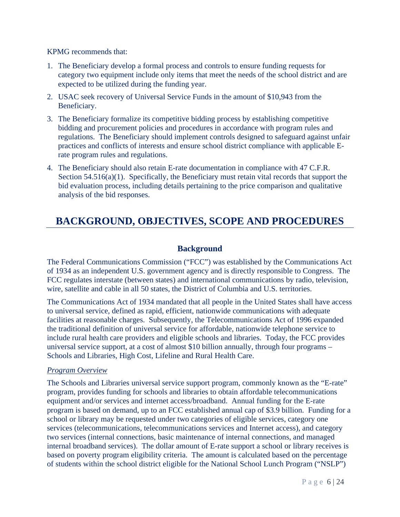KPMG recommends that:

- 1. The Beneficiary develop a formal process and controls to ensure funding requests for category two equipment include only items that meet the needs of the school district and are expected to be utilized during the funding year.
- 2. USAC seek recovery of Universal Service Funds in the amount of \$10,943 from the Beneficiary.
- 3. The Beneficiary formalize its competitive bidding process by establishing competitive bidding and procurement policies and procedures in accordance with program rules and regulations. The Beneficiary should implement controls designed to safeguard against unfair practices and conflicts of interests and ensure school district compliance with applicable Erate program rules and regulations.
- 4. The Beneficiary should also retain E-rate documentation in compliance with 47 C.F.R. Section 54.516(a)(1). Specifically, the Beneficiary must retain vital records that support the bid evaluation process, including details pertaining to the price comparison and qualitative analysis of the bid responses.

# **BACKGROUND, OBJECTIVES, SCOPE AND PROCEDURES**

### **Background**

The Federal Communications Commission ("FCC") was established by the Communications Act of 1934 as an independent U.S. government agency and is directly responsible to Congress. The FCC regulates interstate (between states) and international communications by radio, television, wire, satellite and cable in all 50 states, the District of Columbia and U.S. territories.

The Communications Act of 1934 mandated that all people in the United States shall have access to universal service, defined as rapid, efficient, nationwide communications with adequate facilities at reasonable charges. Subsequently, the Telecommunications Act of 1996 expanded the traditional definition of universal service for affordable, nationwide telephone service to include rural health care providers and eligible schools and libraries. Today, the FCC provides universal service support, at a cost of almost \$10 billion annually, through four programs – Schools and Libraries, High Cost, Lifeline and Rural Health Care.

#### *Program Overview*

The Schools and Libraries universal service support program, commonly known as the "E-rate" program, provides funding for schools and libraries to obtain affordable telecommunications equipment and/or services and internet access/broadband. Annual funding for the E-rate program is based on demand, up to an FCC established annual cap of \$3.9 billion. Funding for a school or library may be requested under two categories of eligible services, category one services (telecommunications, telecommunications services and Internet access), and category two services (internal connections, basic maintenance of internal connections, and managed internal broadband services). The dollar amount of E-rate support a school or library receives is based on poverty program eligibility criteria. The amount is calculated based on the percentage of students within the school district eligible for the National School Lunch Program ("NSLP")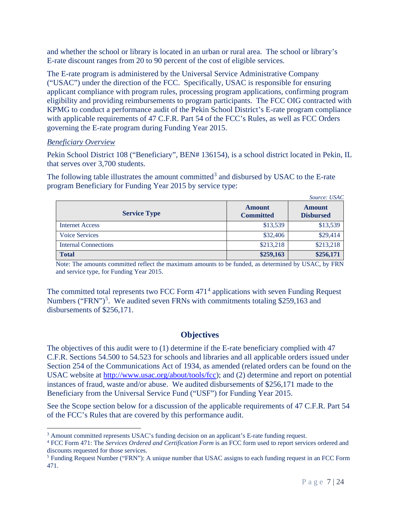and whether the school or library is located in an urban or rural area. The school or library's E-rate discount ranges from 20 to 90 percent of the cost of eligible services.

The E-rate program is administered by the Universal Service Administrative Company ("USAC") under the direction of the FCC. Specifically, USAC is responsible for ensuring applicant compliance with program rules, processing program applications, confirming program eligibility and providing reimbursements to program participants. The FCC OIG contracted with KPMG to conduct a performance audit of the Pekin School District's E-rate program compliance with applicable requirements of 47 C.F.R. Part 54 of the FCC's Rules, as well as FCC Orders governing the E-rate program during Funding Year 2015.

#### *Beneficiary Overview*

Pekin School District 108 ("Beneficiary", BEN# 136154), is a school district located in Pekin, IL that serves over 3,700 students.

The following table illustrates the amount committed<sup>3</sup> and disbursed by USAC to the E-rate program Beneficiary for Funding Year 2015 by service type:

|                             |                                   | Source: USAC                      |
|-----------------------------|-----------------------------------|-----------------------------------|
| <b>Service Type</b>         | <b>Amount</b><br><b>Committed</b> | <b>Amount</b><br><b>Disbursed</b> |
| <b>Internet Access</b>      | \$13,539                          | \$13,539                          |
| <b>Voice Services</b>       | \$32,406                          | \$29,414                          |
| <b>Internal Connections</b> | \$213,218                         | \$213,218                         |
| <b>Total</b>                | \$259,163                         | \$256,171                         |

Note: The amounts committed reflect the maximum amounts to be funded, as determined by USAC, by FRN and service type, for Funding Year 2015.

The committed total represents two FCC Form 471<sup>4</sup> applications with seven Funding Request Numbers ("FRN")<sup>5</sup>. We audited seven FRNs with commitments totaling \$259,163 and disbursements of \$256,171.

### **Objectives**

The objectives of this audit were to (1) determine if the E-rate beneficiary complied with 47 C.F.R. Sections 54.500 to 54.523 for schools and libraries and all applicable orders issued under Section 254 of the Communications Act of 1934, as amended (related orders can be found on the USAC website at http://www.usac.org/about/tools/fcc); and (2) determine and report on potential instances of fraud, waste and/or abuse. We audited disbursements of \$256,171 made to the Beneficiary from the Universal Service Fund ("USF") for Funding Year 2015.

See the Scope section below for a discussion of the applicable requirements of 47 C.F.R. Part 54 of the FCC's Rules that are covered by this performance audit.

<sup>&</sup>lt;sup>3</sup> Amount committed represents USAC's funding decision on an applicant's E-rate funding request.<br><sup>4</sup> FCC Form 471: The *Services Ordered and Certification Form* is an FCC form used to report services ordered and

discounts requested for those services.

<sup>5</sup> Funding Request Number ("FRN"): A unique number that USAC assigns to each funding request in an FCC Form 471.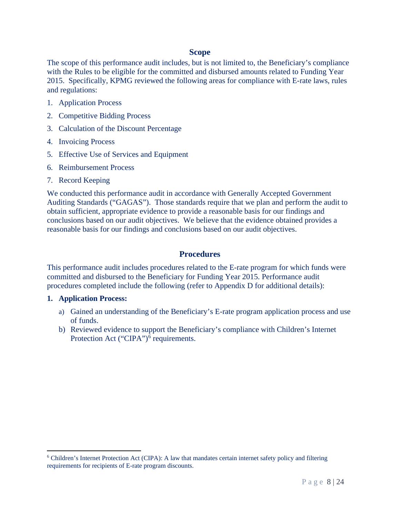### **Scope**

The scope of this performance audit includes, but is not limited to, the Beneficiary's compliance with the Rules to be eligible for the committed and disbursed amounts related to Funding Year 2015. Specifically, KPMG reviewed the following areas for compliance with E-rate laws, rules and regulations:

- 1. Application Process
- 2. Competitive Bidding Process
- 3. Calculation of the Discount Percentage
- 4. Invoicing Process
- 5. Effective Use of Services and Equipment
- 6. Reimbursement Process
- 7. Record Keeping

We conducted this performance audit in accordance with Generally Accepted Government Auditing Standards ("GAGAS"). Those standards require that we plan and perform the audit to obtain sufficient, appropriate evidence to provide a reasonable basis for our findings and conclusions based on our audit objectives. We believe that the evidence obtained provides a reasonable basis for our findings and conclusions based on our audit objectives.

#### **Procedures**

This performance audit includes procedures related to the E-rate program for which funds were committed and disbursed to the Beneficiary for Funding Year 2015. Performance audit procedures completed include the following (refer to Appendix D for additional details):

#### **1. Application Process:**

- a) Gained an understanding of the Beneficiary's E-rate program application process and use of funds.
- b) Reviewed evidence to support the Beneficiary's compliance with Children's Internet Protection Act ("CIPA")<sup>6</sup> requirements.

<sup>6</sup> Children's Internet Protection Act (CIPA): A law that mandates certain internet safety policy and filtering requirements for recipients of E-rate program discounts.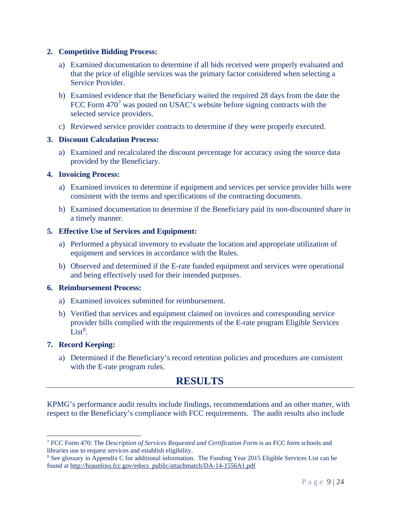#### **2. Competitive Bidding Process:**

- a) Examined documentation to determine if all bids received were properly evaluated and that the price of eligible services was the primary factor considered when selecting a Service Provider.
- b) Examined evidence that the Beneficiary waited the required 28 days from the date the FCC Form  $470<sup>7</sup>$  was posted on USAC's website before signing contracts with the selected service providers.
- c) Reviewed service provider contracts to determine if they were properly executed.

#### **3. Discount Calculation Process:**

a) Examined and recalculated the discount percentage for accuracy using the source data provided by the Beneficiary.

#### **4. Invoicing Process:**

- a) Examined invoices to determine if equipment and services per service provider bills were consistent with the terms and specifications of the contracting documents.
- b) Examined documentation to determine if the Beneficiary paid its non-discounted share in a timely manner.

#### **5. Effective Use of Services and Equipment:**

- a) Performed a physical inventory to evaluate the location and appropriate utilization of equipment and services in accordance with the Rules.
- b) Observed and determined if the E-rate funded equipment and services were operational and being effectively used for their intended purposes.

#### **6. Reimbursement Process:**

- a) Examined invoices submitted for reimbursement.
- b) Verified that services and equipment claimed on invoices and corresponding service provider bills complied with the requirements of the E-rate program Eligible Services  $List<sup>8</sup>$ .

#### **7. Record Keeping:**

a) Determined if the Beneficiary's record retention policies and procedures are consistent with the E-rate program rules.

# **RESULTS**

KPMG's performance audit results include findings, recommendations and an other matter, with respect to the Beneficiary's compliance with FCC requirements. The audit results also include

<sup>7</sup> FCC Form 470: The *Description of Services Requested and Certification Form* is an FCC form schools and libraries use to request services and establish eligibility.

<sup>8</sup> See glossary in Appendix C for additional information. The Funding Year 2015 Eligible Services List can be found at http://hraunfoss.fcc.gov/edocs public/attachmatch/DA-14-1556A1.pdf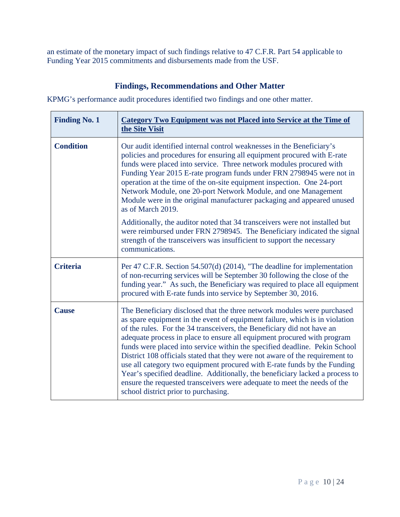an estimate of the monetary impact of such findings relative to 47 C.F.R. Part 54 applicable to Funding Year 2015 commitments and disbursements made from the USF.

### **Findings, Recommendations and Other Matter**

KPMG's performance audit procedures identified two findings and one other matter.

| <b>Finding No. 1</b> | Category Two Equipment was not Placed into Service at the Time of<br>the Site Visit                                                                                                                                                                                                                                                                                                                                                                                                                                                                                                                                                                                                                                                                       |
|----------------------|-----------------------------------------------------------------------------------------------------------------------------------------------------------------------------------------------------------------------------------------------------------------------------------------------------------------------------------------------------------------------------------------------------------------------------------------------------------------------------------------------------------------------------------------------------------------------------------------------------------------------------------------------------------------------------------------------------------------------------------------------------------|
| <b>Condition</b>     | Our audit identified internal control weaknesses in the Beneficiary's<br>policies and procedures for ensuring all equipment procured with E-rate<br>funds were placed into service. Three network modules procured with<br>Funding Year 2015 E-rate program funds under FRN 2798945 were not in<br>operation at the time of the on-site equipment inspection. One 24-port<br>Network Module, one 20-port Network Module, and one Management<br>Module were in the original manufacturer packaging and appeared unused<br>as of March 2019.                                                                                                                                                                                                                |
|                      | Additionally, the auditor noted that 34 transceivers were not installed but<br>were reimbursed under FRN 2798945. The Beneficiary indicated the signal<br>strength of the transceivers was insufficient to support the necessary<br>communications.                                                                                                                                                                                                                                                                                                                                                                                                                                                                                                       |
| <b>Criteria</b>      | Per 47 C.F.R. Section 54.507(d) (2014), "The deadline for implementation<br>of non-recurring services will be September 30 following the close of the<br>funding year." As such, the Beneficiary was required to place all equipment<br>procured with E-rate funds into service by September 30, 2016.                                                                                                                                                                                                                                                                                                                                                                                                                                                    |
| <b>Cause</b>         | The Beneficiary disclosed that the three network modules were purchased<br>as spare equipment in the event of equipment failure, which is in violation<br>of the rules. For the 34 transceivers, the Beneficiary did not have an<br>adequate process in place to ensure all equipment procured with program<br>funds were placed into service within the specified deadline. Pekin School<br>District 108 officials stated that they were not aware of the requirement to<br>use all category two equipment procured with E-rate funds by the Funding<br>Year's specified deadline. Additionally, the beneficiary lacked a process to<br>ensure the requested transceivers were adequate to meet the needs of the<br>school district prior to purchasing. |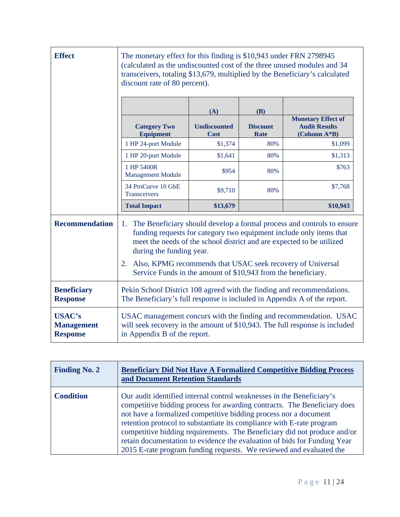| <b>Effect</b>                                         | The monetary effect for this finding is \$10,943 under FRN 2798945<br>(calculated as the undiscounted cost of the three unused modules and 34<br>transceivers, totaling \$13,679, multiplied by the Beneficiary's calculated<br>discount rate of 80 percent).                                                                                                                                 |                                    |                         |                                                                     |
|-------------------------------------------------------|-----------------------------------------------------------------------------------------------------------------------------------------------------------------------------------------------------------------------------------------------------------------------------------------------------------------------------------------------------------------------------------------------|------------------------------------|-------------------------|---------------------------------------------------------------------|
|                                                       |                                                                                                                                                                                                                                                                                                                                                                                               | (A)                                | (B)                     |                                                                     |
|                                                       | <b>Category Two</b><br><b>Equipment</b>                                                                                                                                                                                                                                                                                                                                                       | <b>Undiscounted</b><br><b>Cost</b> | <b>Discount</b><br>Rate | <b>Monetary Effect of</b><br><b>Audit Results</b><br>$(Column A*B)$ |
|                                                       | 1 HP 24-port Module                                                                                                                                                                                                                                                                                                                                                                           | \$1,374                            | 80%                     | \$1,099                                                             |
|                                                       | 1 HP 20-port Module                                                                                                                                                                                                                                                                                                                                                                           | \$1,641                            | 80%                     | \$1,313                                                             |
|                                                       | 1 HP 5400R<br><b>Management Module</b>                                                                                                                                                                                                                                                                                                                                                        | \$954                              | 80%                     | \$763                                                               |
|                                                       | 34 ProCurve 10 GbE<br>Transceivers                                                                                                                                                                                                                                                                                                                                                            | \$9,710                            | 80%                     | \$7,768                                                             |
|                                                       | <b>Total Impact</b>                                                                                                                                                                                                                                                                                                                                                                           | \$13,679                           |                         | \$10,943                                                            |
| <b>Recommendation</b>                                 | The Beneficiary should develop a formal process and controls to ensure<br>1.<br>funding requests for category two equipment include only items that<br>meet the needs of the school district and are expected to be utilized<br>during the funding year.<br>Also, KPMG recommends that USAC seek recovery of Universal<br>2.<br>Service Funds in the amount of \$10,943 from the beneficiary. |                                    |                         |                                                                     |
| <b>Beneficiary</b><br><b>Response</b>                 | Pekin School District 108 agreed with the finding and recommendations.<br>The Beneficiary's full response is included in Appendix A of the report.                                                                                                                                                                                                                                            |                                    |                         |                                                                     |
| <b>USAC's</b><br><b>Management</b><br><b>Response</b> | USAC management concurs with the finding and recommendation. USAC<br>will seek recovery in the amount of \$10,943. The full response is included<br>in Appendix B of the report.                                                                                                                                                                                                              |                                    |                         |                                                                     |

| <b>Finding No. 2</b> | <b>Beneficiary Did Not Have A Formalized Competitive Bidding Process</b><br>and Document Retention Standards                                                                                                                                                                                                                                                                                                                                                                                                                  |
|----------------------|-------------------------------------------------------------------------------------------------------------------------------------------------------------------------------------------------------------------------------------------------------------------------------------------------------------------------------------------------------------------------------------------------------------------------------------------------------------------------------------------------------------------------------|
| <b>Condition</b>     | Our audit identified internal control weaknesses in the Beneficiary's<br>competitive bidding process for awarding contracts. The Beneficiary does<br>not have a formalized competitive bidding process nor a document<br>retention protocol to substantiate its compliance with E-rate program<br>competitive bidding requirements. The Beneficiary did not produce and/or<br>retain documentation to evidence the evaluation of bids for Funding Year<br>2015 E-rate program funding requests. We reviewed and evaluated the |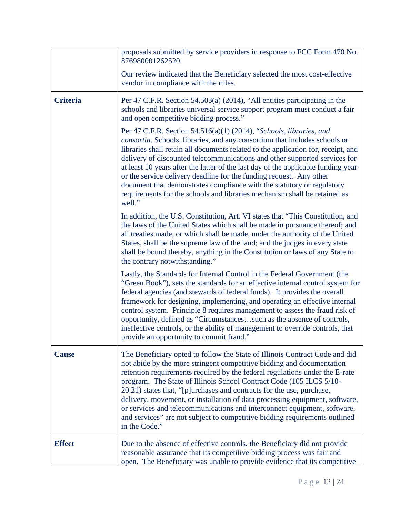|                 | proposals submitted by service providers in response to FCC Form 470 No.<br>876980001262520.                                                                                                                                                                                                                                                                                                                                                                                                                                                                                                                                                             |
|-----------------|----------------------------------------------------------------------------------------------------------------------------------------------------------------------------------------------------------------------------------------------------------------------------------------------------------------------------------------------------------------------------------------------------------------------------------------------------------------------------------------------------------------------------------------------------------------------------------------------------------------------------------------------------------|
|                 | Our review indicated that the Beneficiary selected the most cost-effective<br>vendor in compliance with the rules.                                                                                                                                                                                                                                                                                                                                                                                                                                                                                                                                       |
| <b>Criteria</b> | Per 47 C.F.R. Section 54.503(a) (2014), "All entities participating in the<br>schools and libraries universal service support program must conduct a fair<br>and open competitive bidding process."                                                                                                                                                                                                                                                                                                                                                                                                                                                      |
|                 | Per 47 C.F.R. Section 54.516(a)(1) (2014), "Schools, libraries, and<br><i>consortia.</i> Schools, libraries, and any consortium that includes schools or<br>libraries shall retain all documents related to the application for, receipt, and<br>delivery of discounted telecommunications and other supported services for<br>at least 10 years after the latter of the last day of the applicable funding year<br>or the service delivery deadline for the funding request. Any other<br>document that demonstrates compliance with the statutory or regulatory<br>requirements for the schools and libraries mechanism shall be retained as<br>well." |
|                 | In addition, the U.S. Constitution, Art. VI states that "This Constitution, and<br>the laws of the United States which shall be made in pursuance thereof; and<br>all treaties made, or which shall be made, under the authority of the United<br>States, shall be the supreme law of the land; and the judges in every state<br>shall be bound thereby, anything in the Constitution or laws of any State to<br>the contrary notwithstanding."                                                                                                                                                                                                          |
|                 | Lastly, the Standards for Internal Control in the Federal Government (the<br>"Green Book"), sets the standards for an effective internal control system for<br>federal agencies (and stewards of federal funds). It provides the overall<br>framework for designing, implementing, and operating an effective internal<br>control system. Principle 8 requires management to assess the fraud risk of<br>opportunity, defined as "Circumstancessuch as the absence of controls,<br>ineffective controls, or the ability of management to override controls, that<br>provide an opportunity to commit fraud."                                             |
| <b>Cause</b>    | The Beneficiary opted to follow the State of Illinois Contract Code and did<br>not abide by the more stringent competitive bidding and documentation<br>retention requirements required by the federal regulations under the E-rate<br>program. The State of Illinois School Contract Code (105 ILCS 5/10-<br>20.21) states that, "[p]urchases and contracts for the use, purchase,<br>delivery, movement, or installation of data processing equipment, software,<br>or services and telecommunications and interconnect equipment, software,<br>and services" are not subject to competitive bidding requirements outlined<br>in the Code."            |
| <b>Effect</b>   | Due to the absence of effective controls, the Beneficiary did not provide<br>reasonable assurance that its competitive bidding process was fair and<br>open. The Beneficiary was unable to provide evidence that its competitive                                                                                                                                                                                                                                                                                                                                                                                                                         |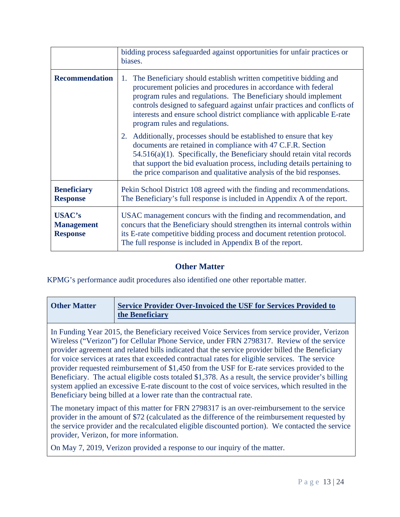|                                                       | bidding process safeguarded against opportunities for unfair practices or<br>biases.                                                                                                                                                                                                                                                                                                             |  |
|-------------------------------------------------------|--------------------------------------------------------------------------------------------------------------------------------------------------------------------------------------------------------------------------------------------------------------------------------------------------------------------------------------------------------------------------------------------------|--|
| <b>Recommendation</b>                                 | 1. The Beneficiary should establish written competitive bidding and<br>procurement policies and procedures in accordance with federal<br>program rules and regulations. The Beneficiary should implement<br>controls designed to safeguard against unfair practices and conflicts of<br>interests and ensure school district compliance with applicable E-rate<br>program rules and regulations. |  |
|                                                       | Additionally, processes should be established to ensure that key<br>2.<br>documents are retained in compliance with 47 C.F.R. Section<br>$54.516(a)(1)$ . Specifically, the Beneficiary should retain vital records<br>that support the bid evaluation process, including details pertaining to<br>the price comparison and qualitative analysis of the bid responses.                           |  |
| <b>Beneficiary</b><br><b>Response</b>                 | Pekin School District 108 agreed with the finding and recommendations.<br>The Beneficiary's full response is included in Appendix A of the report.                                                                                                                                                                                                                                               |  |
| <b>USAC's</b><br><b>Management</b><br><b>Response</b> | USAC management concurs with the finding and recommendation, and<br>concurs that the Beneficiary should strengthen its internal controls within<br>its E-rate competitive bidding process and document retention protocol.<br>The full response is included in Appendix B of the report.                                                                                                         |  |

### **Other Matter**

KPMG's performance audit procedures also identified one other reportable matter.

| <b>Other Matter</b> | <b>Service Provider Over-Invoiced the USF for Services Provided to</b> |
|---------------------|------------------------------------------------------------------------|
|                     | the Beneficiary                                                        |

In Funding Year 2015, the Beneficiary received Voice Services from service provider, Verizon Wireless ("Verizon") for Cellular Phone Service, under FRN 2798317. Review of the service provider agreement and related bills indicated that the service provider billed the Beneficiary for voice services at rates that exceeded contractual rates for eligible services. The service provider requested reimbursement of \$1,450 from the USF for E-rate services provided to the Beneficiary. The actual eligible costs totaled \$1,378. As a result, the service provider's billing system applied an excessive E-rate discount to the cost of voice services, which resulted in the Beneficiary being billed at a lower rate than the contractual rate.

The monetary impact of this matter for FRN 2798317 is an over-reimbursement to the service provider in the amount of \$72 (calculated as the difference of the reimbursement requested by the service provider and the recalculated eligible discounted portion). We contacted the service provider, Verizon, for more information.

On May 7, 2019, Verizon provided a response to our inquiry of the matter.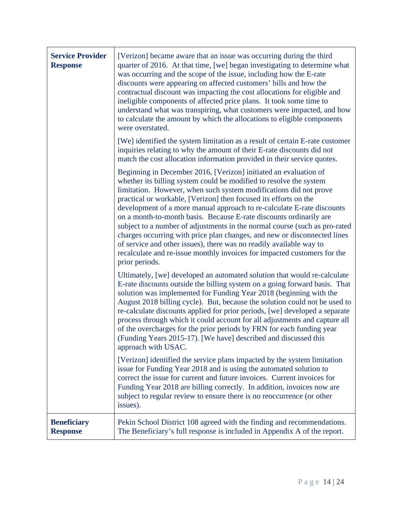| <b>Service Provider</b><br><b>Response</b> | [Verizon] became aware that an issue was occurring during the third<br>quarter of 2016. At that time, [we] began investigating to determine what<br>was occurring and the scope of the issue, including how the E-rate<br>discounts were appearing on affected customers' bills and how the<br>contractual discount was impacting the cost allocations for eligible and<br>ineligible components of affected price plans. It took some time to<br>understand what was transpiring, what customers were impacted, and how<br>to calculate the amount by which the allocations to eligible components<br>were overstated.<br>[We] identified the system limitation as a result of certain E-rate customer<br>inquiries relating to why the amount of their E-rate discounts did not<br>match the cost allocation information provided in their service quotes. |
|--------------------------------------------|--------------------------------------------------------------------------------------------------------------------------------------------------------------------------------------------------------------------------------------------------------------------------------------------------------------------------------------------------------------------------------------------------------------------------------------------------------------------------------------------------------------------------------------------------------------------------------------------------------------------------------------------------------------------------------------------------------------------------------------------------------------------------------------------------------------------------------------------------------------|
|                                            | Beginning in December 2016, [Verizon] initiated an evaluation of<br>whether its billing system could be modified to resolve the system<br>limitation. However, when such system modifications did not prove<br>practical or workable, [Verizon] then focused its efforts on the<br>development of a more manual approach to re-calculate E-rate discounts<br>on a month-to-month basis. Because E-rate discounts ordinarily are<br>subject to a number of adjustments in the normal course (such as pro-rated<br>charges occurring with price plan changes, and new or disconnected lines<br>of service and other issues), there was no readily available way to<br>recalculate and re-issue monthly invoices for impacted customers for the<br>prior periods.                                                                                               |
|                                            | Ultimately, [we] developed an automated solution that would re-calculate<br>E-rate discounts outside the billing system on a going forward basis. That<br>solution was implemented for Funding Year 2018 (beginning with the<br>August 2018 billing cycle). But, because the solution could not be used to<br>re-calculate discounts applied for prior periods, [we] developed a separate<br>process through which it could account for all adjustments and capture all<br>of the overcharges for the prior periods by FRN for each funding year<br>(Funding Years 2015-17). [We have] described and discussed this<br>approach with USAC.                                                                                                                                                                                                                   |
|                                            | [Verizon] identified the service plans impacted by the system limitation<br>issue for Funding Year 2018 and is using the automated solution to<br>correct the issue for current and future invoices. Current invoices for<br>Funding Year 2018 are billing correctly. In addition, invoices now are<br>subject to regular review to ensure there is no reoccurrence (or other<br>issues).                                                                                                                                                                                                                                                                                                                                                                                                                                                                    |
| <b>Beneficiary</b><br><b>Response</b>      | Pekin School District 108 agreed with the finding and recommendations.<br>The Beneficiary's full response is included in Appendix A of the report.                                                                                                                                                                                                                                                                                                                                                                                                                                                                                                                                                                                                                                                                                                           |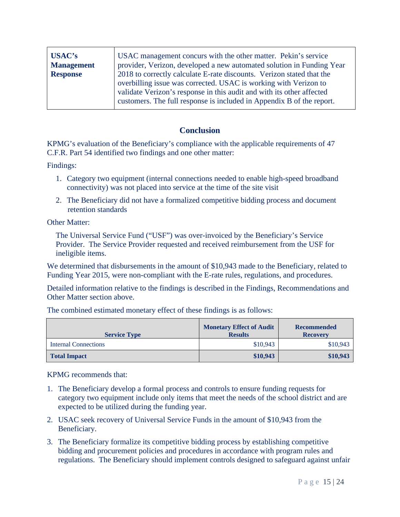| USAC's            | USAC management concurs with the other matter. Pekin's service                                                                            |
|-------------------|-------------------------------------------------------------------------------------------------------------------------------------------|
| <b>Management</b> | provider, Verizon, developed a new automated solution in Funding Year                                                                     |
| <b>Response</b>   | 2018 to correctly calculate E-rate discounts. Verizon stated that the                                                                     |
|                   | overbilling issue was corrected. USAC is working with Verizon to<br>validate Verizon's response in this audit and with its other affected |
|                   | customers. The full response is included in Appendix B of the report.                                                                     |

### **Conclusion**

KPMG's evaluation of the Beneficiary's compliance with the applicable requirements of 47 C.F.R. Part 54 identified two findings and one other matter:

Findings:

- 1. Category two equipment (internal connections needed to enable high-speed broadband connectivity) was not placed into service at the time of the site visit
- 2. The Beneficiary did not have a formalized competitive bidding process and document retention standards

Other Matter:

The Universal Service Fund ("USF") was over-invoiced by the Beneficiary's Service Provider. The Service Provider requested and received reimbursement from the USF for ineligible items.

We determined that disbursements in the amount of \$10,943 made to the Beneficiary, related to Funding Year 2015, were non-compliant with the E-rate rules, regulations, and procedures.

Detailed information relative to the findings is described in the Findings, Recommendations and Other Matter section above.

| <b>Service Type</b>  | <b>Monetary Effect of Audit</b><br><b>Results</b> | <b>Recommended</b><br><b>Recovery</b> |
|----------------------|---------------------------------------------------|---------------------------------------|
| Internal Connections | \$10,943                                          | \$10,943                              |
| <b>Total Impact</b>  | \$10,943                                          | \$10,943                              |

The combined estimated monetary effect of these findings is as follows:

KPMG recommends that:

- 1. The Beneficiary develop a formal process and controls to ensure funding requests for category two equipment include only items that meet the needs of the school district and are expected to be utilized during the funding year.
- 2. USAC seek recovery of Universal Service Funds in the amount of \$10,943 from the Beneficiary.
- 3. The Beneficiary formalize its competitive bidding process by establishing competitive bidding and procurement policies and procedures in accordance with program rules and regulations. The Beneficiary should implement controls designed to safeguard against unfair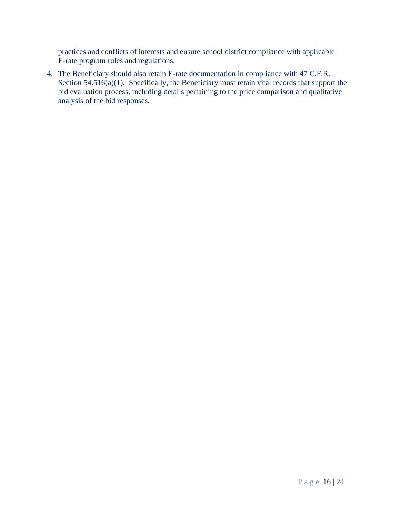practices and conflicts of interests and ensure school district compliance with applicable E-rate program rules and regulations.

4. The Beneficiary should also retain E-rate documentation in compliance with 47 C.F.R. Section 54.516(a)(1). Specifically, the Beneficiary must retain vital records that support the bid evaluation process, including details pertaining to the price comparison and qualitative analysis of the bid responses.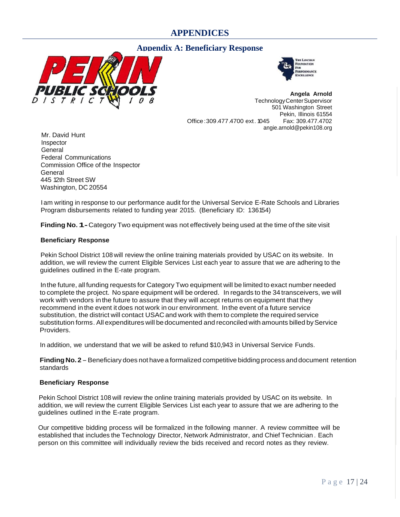### **APPENDICES**

#### **Appendix A: Beneficiary Response**





**Angela Arnold**  TechnologyCenterSupervisor 501 Washington Street Pekin, Illinois 61554 Office: 309.477.4700 ext. 1045 angie.arnold@pekin108.org

Mr. David Hunt Inspector General Federal Communications Commission Office of the Inspector **General** 445 12th Street SW Washington, DC 20554

I am writing in response to our performance audit for the Universal Service E-Rate Schools and Libraries Program disbursements related to funding year 2015. (Beneficiary ID: 136154)

**Finding No. 1-** Category Two equipment was not effectively being used at the time of the site visit

#### **Beneficiary Response**

Pekin School District 108 will review the online training materials provided by USAC on its website. In addition, we will review the current Eligible Services List each year to assure that we are adhering to the guidelines outlined in the E-rate program.

Inthe future, all funding requests for Category Two equipment will be limited to exact number needed to complete the project. No spare equipment will be ordered. In regards to the 34 transceivers, we will work with vendors inthe future to assure that they will accept returns on equipment that they recommend in the event it does not work in our environment. Inthe event of a future service substitution, the district will contact USAC and work with them to complete the required service substitution forms. All expenditures will be documented and reconciled with amounts billed by Service Providers.

In addition, we understand that we will be asked to refund \$10,943 in Universal Service Funds.

**Finding No. 2** - Beneficiary does not have a formalized competitive bidding process and document retention standards

#### **Beneficiary Response**

Pekin School District 108 will review the online training materials provided by USAC on its website. In addition, we will review the current Eligible Services List each year to assure that we are adhering to the guidelines outlined in the E-rate program.

Our competitive bidding process will be formalized in the following manner. A review committee will be established that includes the Technology Director, Network Administrator, and Chief Technician . Each person on this committee will individually review the bids received and record notes as they review.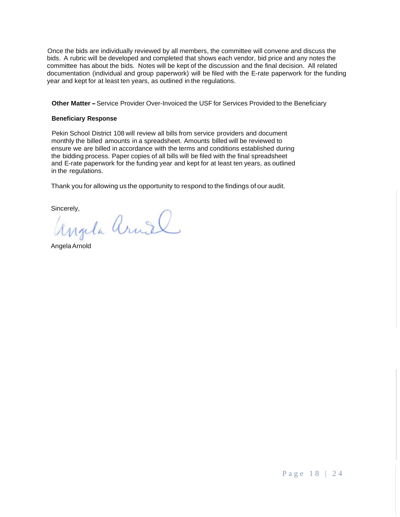Once the bids are individually reviewed by all members, the committee will convene and discuss the bids. A rubric will be developed and completed that shows each vendor, bid price and any notes the committee has about the bids. Notes will be kept of the discussion and the final decision. All related documentation (individual and group paperwork) will be filed with the E-rate paperwork for the funding year and kept for at least ten years, as outlined in the regulations.

**Other Matter-** Service Provider Over-Invoiced the USF for Services Provided to the Beneficiary

#### **Beneficiary Response**

Pekin School District 108 will review all bills from service providers and document monthly the billed amounts in a spreadsheet. Amounts billed will be reviewed to ensure we are billed in accordance with the terms and conditions established during the bidding process. Paper copies of all bills will be filed with the final spreadsheet and E-rate paperwork for the funding year and kept for at least ten years, as outlined in the regulations.

Thank you for allowing us the opportunity to respond to the findings of our audit.

Sincerely,<br>Ungela Arniel

AngelaArnold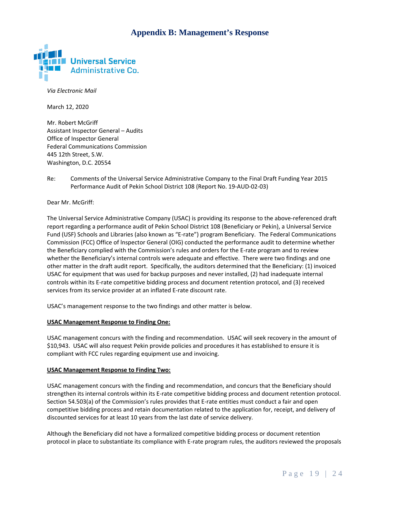### **Appendix B: Management's Response**



*Via Electronic Mail*

March 12, 2020

Mr. Robert McGriff Assistant Inspector General – Audits Office of Inspector General Federal Communications Commission 445 12th Street, S.W. Washington, D.C. 20554

Re: Comments of the Universal Service Administrative Company to the Final Draft Funding Year 2015 Performance Audit of Pekin School District 108 (Report No. 19-AUD-02-03)

Dear Mr. McGriff:

The Universal Service Administrative Company (USAC) is providing its response to the above-referenced draft report regarding a performance audit of Pekin School District 108 (Beneficiary or Pekin), a Universal Service Fund (USF) Schools and Libraries (also known as "E-rate") program Beneficiary. The Federal Communications Commission (FCC) Office of lnspector General (OIG) conducted the performance audit to determine whether the Beneficiary complied with the Commission's rules and orders for the E-rate program and to review whether the Beneficiary's internal controls were adequate and effective. There were two findings and one other matter in the draft audit report. Specifically, the auditors determined that the Beneficiary: (1) invoiced USAC for equipment that was used for backup purposes and never installed, (2) had inadequate internal controls within its E-rate competitive bidding process and document retention protocol, and (3) received services from its service provider at an inflated E-rate discount rate.

USAC's management response to the two findings and other matter is below.

#### **USAC Management Response to Finding One:**

USAC management concurs with the finding and recommendation. USAC will seek recovery in the amount of \$10,943. USAC will also request Pekin provide policies and procedures it has established to ensure it is compliant with FCC rules regarding equipment use and invoicing.

#### **USAC Management Response to Finding Two:**

USAC management concurs with the finding and recommendation, and concurs that the Beneficiary should strengthen its internal controls within its E-rate competitive bidding process and document retention protocol. Section 54.503(a) of the Commission's rules provides that E-rate entities must conduct a fair and open competitive bidding process and retain documentation related to the application for, receipt, and delivery of discounted services for at least 10 years from the last date of service delivery.

Although the Beneficiary did not have a formalized competitive bidding process or document retention protocol in place to substantiate its compliance with E-rate program rules, the auditors reviewed the proposals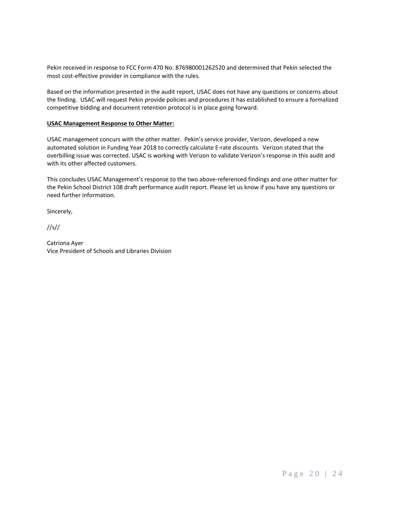Pekin received in response to FCC Form 470 No. 876980001262520 and determined that Pekin selected the most cost-effective provider in compliance with the rules.

Based on the information presented in the audit report, USAC does not have any questions or concerns about the finding. USAC will request Pekin provide policies and procedures it has established to ensure a formalized competitive bidding and document retention protocol is in place going forward.

#### **USAC Management Response to Other Matter:**

USAC management concurs with the other matter. Pekin's service provider, Verizon, developed a new automated solution in Funding Year 2018 to correctly calculate E-rate discounts. Verizon stated that the overbilling issue was corrected. USAC is working with Verizon to validate Verizon's response in this audit and with its other affected customers.

This concludes USAC Management's response to the two above-referenced findings and one other matter for the Pekin School District 108 draft performance audit report. Please let us know if you have any questions or need further information.

Sincerely,

//s//

Catriona Ayer Vice President of Schools and Libraries Division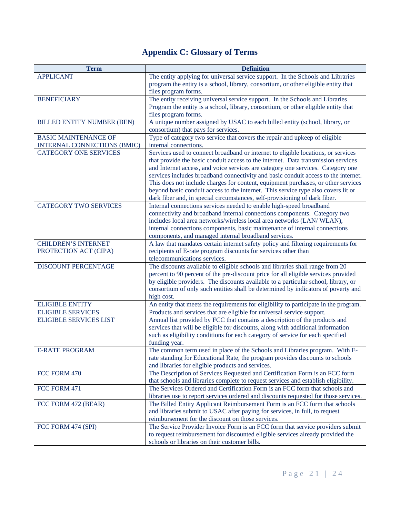# **Appendix C: Glossary of Terms**

| <b>Term</b>                        | <b>Definition</b>                                                                                                                                                       |
|------------------------------------|-------------------------------------------------------------------------------------------------------------------------------------------------------------------------|
| <b>APPLICANT</b>                   | The entity applying for universal service support. In the Schools and Libraries                                                                                         |
|                                    | program the entity is a school, library, consortium, or other eligible entity that                                                                                      |
|                                    | files program forms.                                                                                                                                                    |
| <b>BENEFICIARY</b>                 | The entity receiving universal service support. In the Schools and Libraries                                                                                            |
|                                    | Program the entity is a school, library, consortium, or other eligible entity that                                                                                      |
|                                    | files program forms.                                                                                                                                                    |
| <b>BILLED ENTITY NUMBER (BEN)</b>  | A unique number assigned by USAC to each billed entity (school, library, or                                                                                             |
|                                    | consortium) that pays for services.                                                                                                                                     |
| <b>BASIC MAINTENANCE OF</b>        | Type of category two service that covers the repair and upkeep of eligible                                                                                              |
| <b>INTERNAL CONNECTIONS (BMIC)</b> | internal connections.                                                                                                                                                   |
| <b>CATEGORY ONE SERVICES</b>       | Services used to connect broadband or internet to eligible locations, or services                                                                                       |
|                                    | that provide the basic conduit access to the internet. Data transmission services                                                                                       |
|                                    | and Internet access, and voice services are category one services. Category one                                                                                         |
|                                    | services includes broadband connectivity and basic conduit access to the internet.                                                                                      |
|                                    | This does not include charges for content, equipment purchases, or other services                                                                                       |
|                                    | beyond basic conduit access to the internet. This service type also covers lit or                                                                                       |
|                                    | dark fiber and, in special circumstances, self-provisioning of dark fiber.                                                                                              |
| <b>CATEGORY TWO SERVICES</b>       | Internal connections services needed to enable high-speed broadband                                                                                                     |
|                                    | connectivity and broadband internal connections components. Category two                                                                                                |
|                                    | includes local area networks/wireless local area networks (LAN/ WLAN),                                                                                                  |
|                                    | internal connections components, basic maintenance of internal connections                                                                                              |
|                                    | components, and managed internal broadband services.                                                                                                                    |
| <b>CHILDREN'S INTERNET</b>         | A law that mandates certain internet safety policy and filtering requirements for                                                                                       |
| PROTECTION ACT (CIPA)              | recipients of E-rate program discounts for services other than                                                                                                          |
|                                    | telecommunications services.                                                                                                                                            |
| <b>DISCOUNT PERCENTAGE</b>         | The discounts available to eligible schools and libraries shall range from 20                                                                                           |
|                                    | percent to 90 percent of the pre-discount price for all eligible services provided                                                                                      |
|                                    | by eligible providers. The discounts available to a particular school, library, or<br>consortium of only such entities shall be determined by indicators of poverty and |
|                                    | high cost.                                                                                                                                                              |
| <b>ELIGIBLE ENTITY</b>             | An entity that meets the requirements for eligibility to participate in the program.                                                                                    |
| <b>ELIGIBLE SERVICES</b>           | Products and services that are eligible for universal service support.                                                                                                  |
| <b>ELIGIBLE SERVICES LIST</b>      | Annual list provided by FCC that contains a description of the products and                                                                                             |
|                                    | services that will be eligible for discounts, along with additional information                                                                                         |
|                                    | such as eligibility conditions for each category of service for each specified                                                                                          |
|                                    | funding year.                                                                                                                                                           |
| <b>E-RATE PROGRAM</b>              | The common term used in place of the Schools and Libraries program. With E-                                                                                             |
|                                    | rate standing for Educational Rate, the program provides discounts to schools                                                                                           |
|                                    | and libraries for eligible products and services.                                                                                                                       |
| FCC FORM 470                       | The Description of Services Requested and Certification Form is an FCC form                                                                                             |
|                                    | that schools and libraries complete to request services and establish eligibility.                                                                                      |
| FCC FORM 471                       | The Services Ordered and Certification Form is an FCC form that schools and                                                                                             |
|                                    | libraries use to report services ordered and discounts requested for those services.                                                                                    |
| FCC FORM 472 (BEAR)                | The Billed Entity Applicant Reimbursement Form is an FCC form that schools                                                                                              |
|                                    | and libraries submit to USAC after paying for services, in full, to request                                                                                             |
|                                    | reimbursement for the discount on those services.                                                                                                                       |
| FCC FORM 474 (SPI)                 | The Service Provider Invoice Form is an FCC form that service providers submit                                                                                          |
|                                    | to request reimbursement for discounted eligible services already provided the                                                                                          |
|                                    | schools or libraries on their customer bills.                                                                                                                           |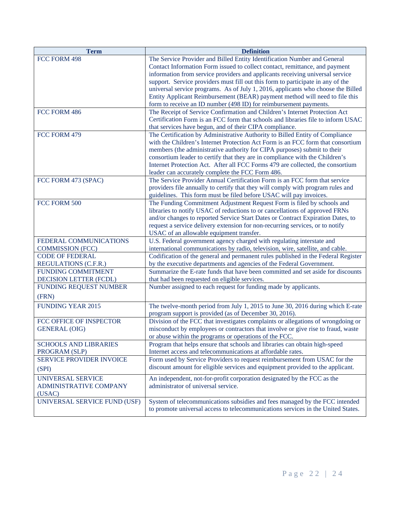| <b>Term</b>                   | <b>Definition</b>                                                                 |
|-------------------------------|-----------------------------------------------------------------------------------|
| FCC FORM 498                  | The Service Provider and Billed Entity Identification Number and General          |
|                               | Contact Information Form issued to collect contact, remittance, and payment       |
|                               | information from service providers and applicants receiving universal service     |
|                               | support. Service providers must fill out this form to participate in any of the   |
|                               | universal service programs. As of July 1, 2016, applicants who choose the Billed  |
|                               | Entity Applicant Reimbursement (BEAR) payment method will need to file this       |
|                               | form to receive an ID number (498 ID) for reimbursement payments.                 |
| FCC FORM 486                  | The Receipt of Service Confirmation and Children's Internet Protection Act        |
|                               | Certification Form is an FCC form that schools and libraries file to inform USAC  |
|                               | that services have begun, and of their CIPA compliance.                           |
| FCC FORM 479                  | The Certification by Administrative Authority to Billed Entity of Compliance      |
|                               | with the Children's Internet Protection Act Form is an FCC form that consortium   |
|                               | members (the administrative authority for CIPA purposes) submit to their          |
|                               | consortium leader to certify that they are in compliance with the Children's      |
|                               | Internet Protection Act. After all FCC Forms 479 are collected, the consortium    |
|                               | leader can accurately complete the FCC Form 486.                                  |
| FCC FORM 473 (SPAC)           | The Service Provider Annual Certification Form is an FCC form that service        |
|                               | providers file annually to certify that they will comply with program rules and   |
|                               | guidelines. This form must be filed before USAC will pay invoices.                |
| FCC FORM 500                  | The Funding Commitment Adjustment Request Form is filed by schools and            |
|                               | libraries to notify USAC of reductions to or cancellations of approved FRNs       |
|                               | and/or changes to reported Service Start Dates or Contract Expiration Dates, to   |
|                               | request a service delivery extension for non-recurring services, or to notify     |
|                               | USAC of an allowable equipment transfer.                                          |
| FEDERAL COMMUNICATIONS        | U.S. Federal government agency charged with regulating interstate and             |
| <b>COMMISSION (FCC)</b>       | international communications by radio, television, wire, satellite, and cable.    |
| <b>CODE OF FEDERAL</b>        | Codification of the general and permanent rules published in the Federal Register |
| REGULATIONS (C.F.R.)          | by the executive departments and agencies of the Federal Government.              |
| <b>FUNDING COMMITMENT</b>     | Summarize the E-rate funds that have been committed and set aside for discounts   |
| <b>DECISION LETTER (FCDL)</b> | that had been requested on eligible services.                                     |
| FUNDING REQUEST NUMBER        | Number assigned to each request for funding made by applicants.                   |
| (FRN)                         |                                                                                   |
| <b>FUNDING YEAR 2015</b>      | The twelve-month period from July 1, 2015 to June 30, 2016 during which E-rate    |
|                               | program support is provided (as of December 30, 2016).                            |
| FCC OFFICE OF INSPECTOR       | Division of the FCC that investigates complaints or allegations of wrongdoing or  |
| <b>GENERAL (OIG)</b>          | misconduct by employees or contractors that involve or give rise to fraud, waste  |
|                               | or abuse within the programs or operations of the FCC.                            |
| <b>SCHOOLS AND LIBRARIES</b>  | Program that helps ensure that schools and libraries can obtain high-speed        |
| PROGRAM (SLP)                 | Internet access and telecommunications at affordable rates.                       |
| SERVICE PROVIDER INVOICE      | Form used by Service Providers to request reimbursement from USAC for the         |
| (SPI)                         | discount amount for eligible services and equipment provided to the applicant.    |
| <b>UNIVERSAL SERVICE</b>      | An independent, not-for-profit corporation designated by the FCC as the           |
| <b>ADMINISTRATIVE COMPANY</b> | administrator of universal service.                                               |
| (USAC)                        |                                                                                   |
| UNIVERSAL SERVICE FUND (USF)  | System of telecommunications subsidies and fees managed by the FCC intended       |
|                               | to promote universal access to telecommunications services in the United States.  |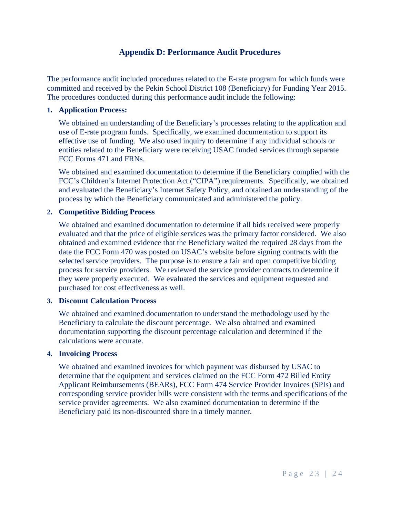### **Appendix D: Performance Audit Procedures**

The performance audit included procedures related to the E-rate program for which funds were committed and received by the Pekin School District 108 (Beneficiary) for Funding Year 2015. The procedures conducted during this performance audit include the following:

#### **1. Application Process:**

We obtained an understanding of the Beneficiary's processes relating to the application and use of E-rate program funds. Specifically, we examined documentation to support its effective use of funding. We also used inquiry to determine if any individual schools or entities related to the Beneficiary were receiving USAC funded services through separate FCC Forms 471 and FRNs.

We obtained and examined documentation to determine if the Beneficiary complied with the FCC's Children's Internet Protection Act ("CIPA") requirements. Specifically, we obtained and evaluated the Beneficiary's Internet Safety Policy, and obtained an understanding of the process by which the Beneficiary communicated and administered the policy.

#### **2. Competitive Bidding Process**

We obtained and examined documentation to determine if all bids received were properly evaluated and that the price of eligible services was the primary factor considered. We also obtained and examined evidence that the Beneficiary waited the required 28 days from the date the FCC Form 470 was posted on USAC's website before signing contracts with the selected service providers. The purpose is to ensure a fair and open competitive bidding process for service providers. We reviewed the service provider contracts to determine if they were properly executed. We evaluated the services and equipment requested and purchased for cost effectiveness as well.

#### **3. Discount Calculation Process**

We obtained and examined documentation to understand the methodology used by the Beneficiary to calculate the discount percentage. We also obtained and examined documentation supporting the discount percentage calculation and determined if the calculations were accurate.

#### **4. Invoicing Process**

We obtained and examined invoices for which payment was disbursed by USAC to determine that the equipment and services claimed on the FCC Form 472 Billed Entity Applicant Reimbursements (BEARs), FCC Form 474 Service Provider Invoices (SPIs) and corresponding service provider bills were consistent with the terms and specifications of the service provider agreements. We also examined documentation to determine if the Beneficiary paid its non-discounted share in a timely manner.